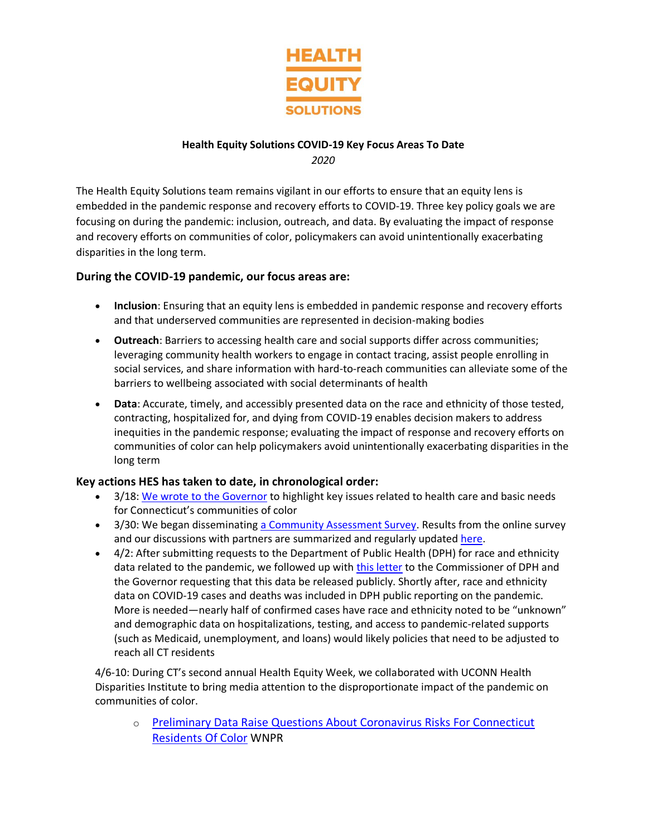

## **Health Equity Solutions COVID-19 Key Focus Areas To Date** *2020*

The Health Equity Solutions team remains vigilant in our efforts to ensure that an equity lens is embedded in the pandemic response and recovery efforts to COVID-19. Three key policy goals we are focusing on during the pandemic: inclusion, outreach, and data. By evaluating the impact of response and recovery efforts on communities of color, policymakers can avoid unintentionally exacerbating disparities in the long term.

## **During the COVID-19 pandemic, our focus areas are:**

- **Inclusion**: Ensuring that an equity lens is embedded in pandemic response and recovery efforts and that underserved communities are represented in decision-making bodies
- **Outreach**: Barriers to accessing health care and social supports differ across communities; leveraging community health workers to engage in contact tracing, assist people enrolling in social services, and share information with hard-to-reach communities can alleviate some of the barriers to wellbeing associated with social determinants of health
- **Data**: Accurate, timely, and accessibly presented data on the race and ethnicity of those tested, contracting, hospitalized for, and dying from COVID-19 enables decision makers to address inequities in the pandemic response; evaluating the impact of response and recovery efforts on communities of color can help policymakers avoid unintentionally exacerbating disparities in the long term

## **Key actions HES has taken to date, in chronological order:**

- 3/18: [We wrote to the Governor](/documents/23/EquityinEmergencyResponse_HES.pdf) to highlight key issues related to health care and basic needs for Connecticut's communities of color
- 3/30: We began disseminatin[g a Community Assessment Survey.](https://www.surveymonkey.com/r/QN6BN3G) Results from the online survey and our discussions with partners are summarized and regularly updated [here.](/documents/27/COVID-19__Health_Equity_Community_Assessment_Summary_April_30_2020.docx)
- 4/2: After submitting requests to the Department of Public Health (DPH) for race and ethnicity data related to the pandemic, we followed up with [this letter](http://hesct.org/documents/24/REData_EquityinCOVIDResponse_HESApril22020.pdf) to the Commissioner of DPH and the Governor requesting that this data be released publicly. Shortly after, race and ethnicity data on COVID-19 cases and deaths was included in DPH public reporting on the pandemic. More is needed—nearly half of confirmed cases have race and ethnicity noted to be "unknown" and demographic data on hospitalizations, testing, and access to pandemic-related supports (such as Medicaid, unemployment, and loans) would likely policies that need to be adjusted to reach all CT residents

4/6-10: During CT's second annual Health Equity Week, we collaborated with UCONN Health Disparities Institute to bring media attention to the disproportionate impact of the pandemic on communities of color.

o [Preliminary Data Raise Questions About Coronavirus Risks For Connecticut](https://www.wnpr.org/post/preliminary-data-raise-questions-about-coronavirus-risks-connecticut-residents-color)  [Residents Of Color](https://www.wnpr.org/post/preliminary-data-raise-questions-about-coronavirus-risks-connecticut-residents-color) WNPR